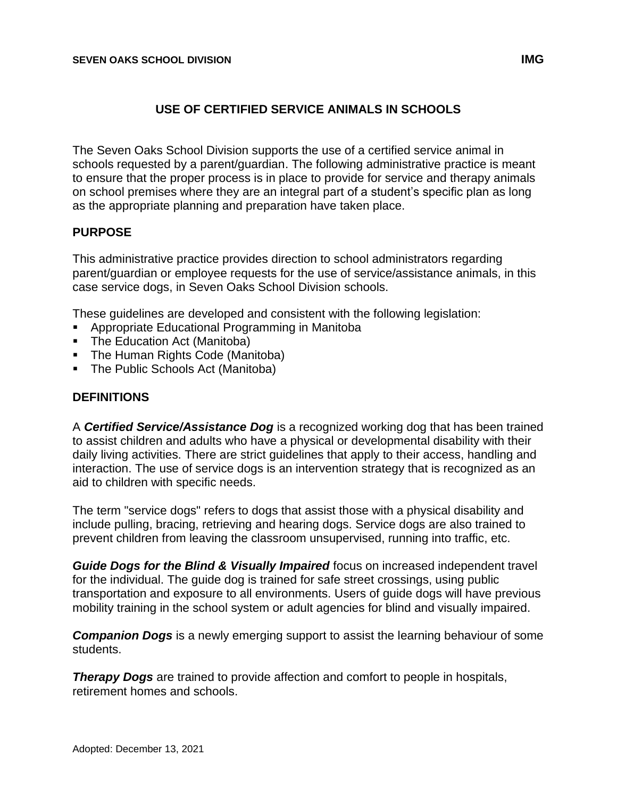#### **USE OF CERTIFIED SERVICE ANIMALS IN SCHOOLS**

The Seven Oaks School Division supports the use of a certified service animal in schools requested by a parent/guardian. The following administrative practice is meant to ensure that the proper process is in place to provide for service and therapy animals on school premises where they are an integral part of a student's specific plan as long as the appropriate planning and preparation have taken place.

#### **PURPOSE**

This administrative practice provides direction to school administrators regarding parent/guardian or employee requests for the use of service/assistance animals, in this case service dogs, in Seven Oaks School Division schools.

These guidelines are developed and consistent with the following legislation:

- Appropriate Educational Programming in Manitoba
- The Education Act (Manitoba)
- The Human Rights Code (Manitoba)
- The Public Schools Act (Manitoba)

#### **DEFINITIONS**

A *Certified Service/Assistance Dog* is a recognized working dog that has been trained to assist children and adults who have a physical or developmental disability with their daily living activities. There are strict guidelines that apply to their access, handling and interaction. The use of service dogs is an intervention strategy that is recognized as an aid to children with specific needs.

The term "service dogs" refers to dogs that assist those with a physical disability and include pulling, bracing, retrieving and hearing dogs. Service dogs are also trained to prevent children from leaving the classroom unsupervised, running into traffic, etc.

*Guide Dogs for the Blind & Visually Impaired* focus on increased independent travel for the individual. The guide dog is trained for safe street crossings, using public transportation and exposure to all environments. Users of guide dogs will have previous mobility training in the school system or adult agencies for blind and visually impaired.

*Companion Dogs* is a newly emerging support to assist the learning behaviour of some students.

**Therapy Dogs** are trained to provide affection and comfort to people in hospitals, retirement homes and schools.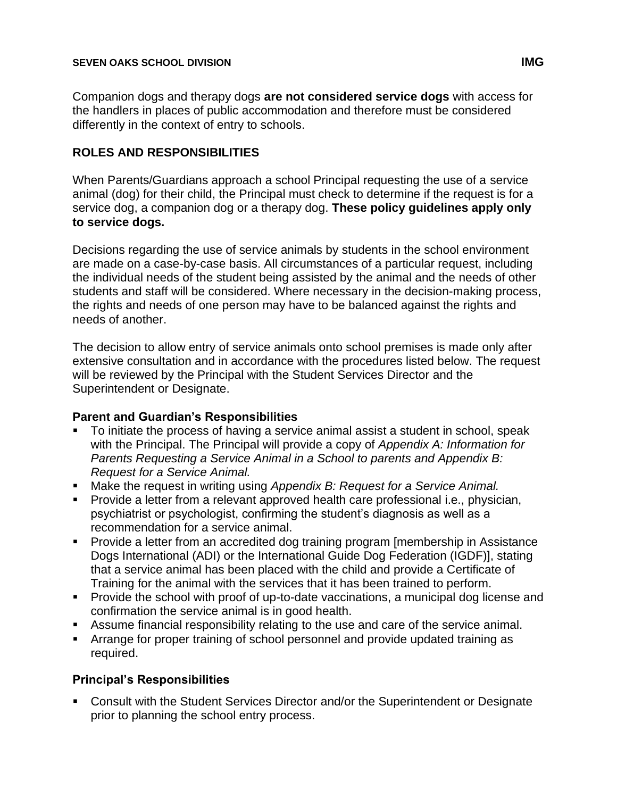Companion dogs and therapy dogs **are not considered service dogs** with access for the handlers in places of public accommodation and therefore must be considered differently in the context of entry to schools.

### **ROLES AND RESPONSIBILITIES**

When Parents/Guardians approach a school Principal requesting the use of a service animal (dog) for their child, the Principal must check to determine if the request is for a service dog, a companion dog or a therapy dog. **These policy guidelines apply only to service dogs.**

Decisions regarding the use of service animals by students in the school environment are made on a case-by-case basis. All circumstances of a particular request, including the individual needs of the student being assisted by the animal and the needs of other students and staff will be considered. Where necessary in the decision-making process, the rights and needs of one person may have to be balanced against the rights and needs of another.

The decision to allow entry of service animals onto school premises is made only after extensive consultation and in accordance with the procedures listed below. The request will be reviewed by the Principal with the Student Services Director and the Superintendent or Designate.

#### **Parent and Guardian's Responsibilities**

- To initiate the process of having a service animal assist a student in school, speak with the Principal. The Principal will provide a copy of *Appendix A: Information for Parents Requesting a Service Animal in a School to parents and Appendix B: Request for a Service Animal.*
- Make the request in writing using *Appendix B: Request for a Service Animal.*
- Provide a letter from a relevant approved health care professional i.e., physician, psychiatrist or psychologist, confirming the student's diagnosis as well as a recommendation for a service animal.
- Provide a letter from an accredited dog training program [membership in Assistance Dogs International (ADI) or the International Guide Dog Federation (IGDF)], stating that a service animal has been placed with the child and provide a Certificate of Training for the animal with the services that it has been trained to perform.
- Provide the school with proof of up-to-date vaccinations, a municipal dog license and confirmation the service animal is in good health.
- Assume financial responsibility relating to the use and care of the service animal.
- **EXTER** Arrange for proper training of school personnel and provide updated training as required.

### **Principal's Responsibilities**

▪ Consult with the Student Services Director and/or the Superintendent or Designate prior to planning the school entry process.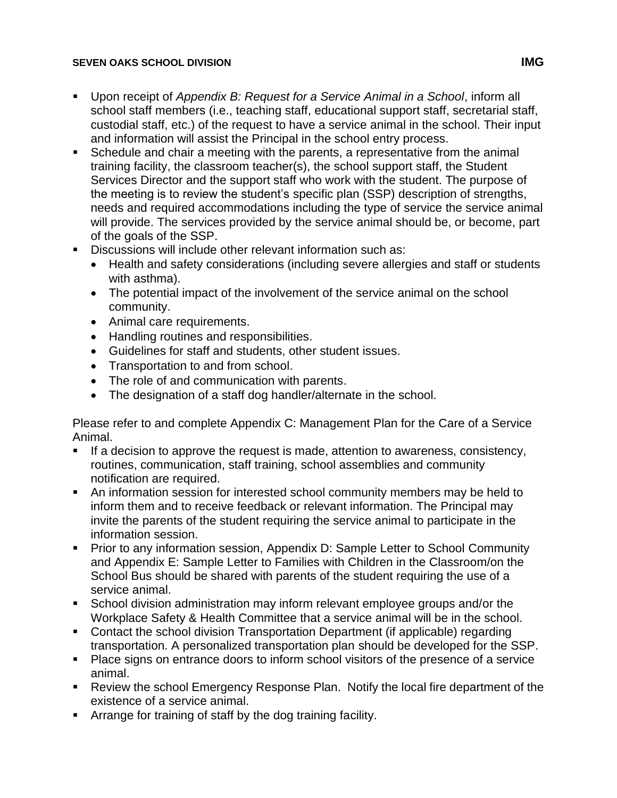#### **SEVEN OAKS SCHOOL DIVISION IMG**

- Upon receipt of *Appendix B: Request for a Service Animal in a School*, inform all school staff members (i.e., teaching staff, educational support staff, secretarial staff, custodial staff, etc.) of the request to have a service animal in the school. Their input and information will assist the Principal in the school entry process.
- Schedule and chair a meeting with the parents, a representative from the animal training facility, the classroom teacher(s), the school support staff, the Student Services Director and the support staff who work with the student. The purpose of the meeting is to review the student's specific plan (SSP) description of strengths, needs and required accommodations including the type of service the service animal will provide. The services provided by the service animal should be, or become, part of the goals of the SSP.
- **EXECUSSIONS WILL INCLUDE OTHER THE INCOCOLD FIND THE DISCUSSIONS WILL PROPER** 
	- Health and safety considerations (including severe allergies and staff or students with asthma).
	- The potential impact of the involvement of the service animal on the school community.
	- Animal care requirements.
	- Handling routines and responsibilities.
	- Guidelines for staff and students, other student issues.
	- Transportation to and from school.
	- The role of and communication with parents.
	- The designation of a staff dog handler/alternate in the school.

Please refer to and complete Appendix C: Management Plan for the Care of a Service Animal.

- If a decision to approve the request is made, attention to awareness, consistency, routines, communication, staff training, school assemblies and community notification are required.
- An information session for interested school community members may be held to inform them and to receive feedback or relevant information. The Principal may invite the parents of the student requiring the service animal to participate in the information session.
- Prior to any information session, Appendix D: Sample Letter to School Community and Appendix E: Sample Letter to Families with Children in the Classroom/on the School Bus should be shared with parents of the student requiring the use of a service animal.
- School division administration may inform relevant employee groups and/or the Workplace Safety & Health Committee that a service animal will be in the school.
- Contact the school division Transportation Department (if applicable) regarding transportation. A personalized transportation plan should be developed for the SSP.
- Place signs on entrance doors to inform school visitors of the presence of a service animal.
- Review the school Emergency Response Plan. Notify the local fire department of the existence of a service animal.
- **EXECT** Arrange for training of staff by the dog training facility.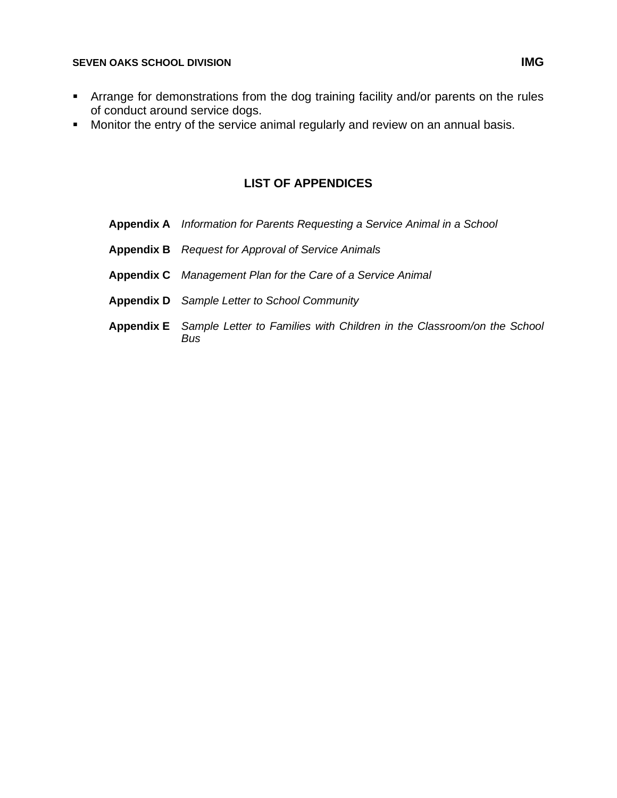- **EXT** Arrange for demonstrations from the dog training facility and/or parents on the rules of conduct around service dogs.
- Monitor the entry of the service animal regularly and review on an annual basis.

#### **LIST OF APPENDICES**

**Appendix A** *Information for Parents Requesting a Service Animal in a School* **Appendix B** *Request for Approval of Service Animals* **Appendix C** *Management Plan for the Care of a Service Animal* **Appendix D** *Sample Letter to School Community* **Appendix E** *Sample Letter to Families with Children in the Classroom/on the School Bus*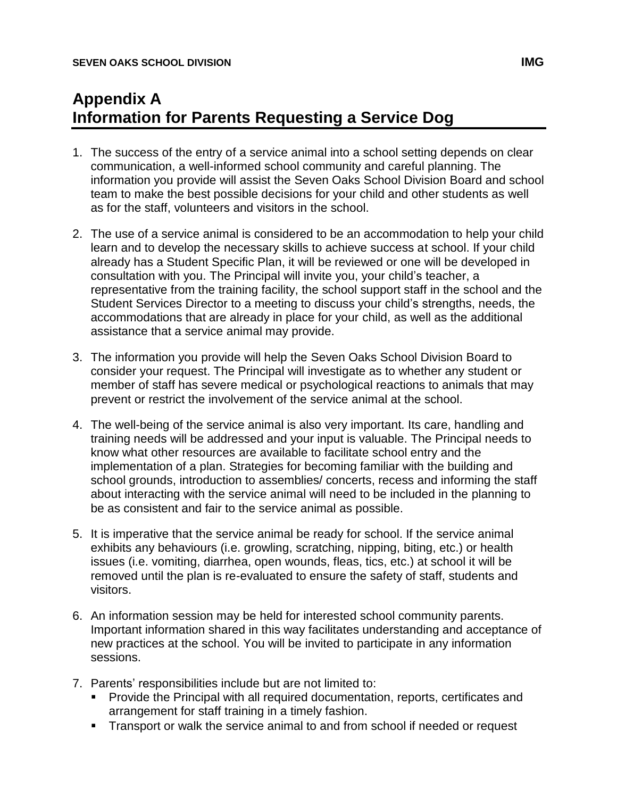# **Appendix A Information for Parents Requesting a Service Dog**

- 1. The success of the entry of a service animal into a school setting depends on clear communication, a well-informed school community and careful planning. The information you provide will assist the Seven Oaks School Division Board and school team to make the best possible decisions for your child and other students as well as for the staff, volunteers and visitors in the school.
- 2. The use of a service animal is considered to be an accommodation to help your child learn and to develop the necessary skills to achieve success at school. If your child already has a Student Specific Plan, it will be reviewed or one will be developed in consultation with you. The Principal will invite you, your child's teacher, a representative from the training facility, the school support staff in the school and the Student Services Director to a meeting to discuss your child's strengths, needs, the accommodations that are already in place for your child, as well as the additional assistance that a service animal may provide.
- 3. The information you provide will help the Seven Oaks School Division Board to consider your request. The Principal will investigate as to whether any student or member of staff has severe medical or psychological reactions to animals that may prevent or restrict the involvement of the service animal at the school.
- 4. The well-being of the service animal is also very important. Its care, handling and training needs will be addressed and your input is valuable. The Principal needs to know what other resources are available to facilitate school entry and the implementation of a plan. Strategies for becoming familiar with the building and school grounds, introduction to assemblies/ concerts, recess and informing the staff about interacting with the service animal will need to be included in the planning to be as consistent and fair to the service animal as possible.
- 5. It is imperative that the service animal be ready for school. If the service animal exhibits any behaviours (i.e. growling, scratching, nipping, biting, etc.) or health issues (i.e. vomiting, diarrhea, open wounds, fleas, tics, etc.) at school it will be removed until the plan is re-evaluated to ensure the safety of staff, students and visitors.
- 6. An information session may be held for interested school community parents. Important information shared in this way facilitates understanding and acceptance of new practices at the school. You will be invited to participate in any information sessions.
- 7. Parents' responsibilities include but are not limited to:
	- Provide the Principal with all required documentation, reports, certificates and arrangement for staff training in a timely fashion.
	- **EXTER** Transport or walk the service animal to and from school if needed or request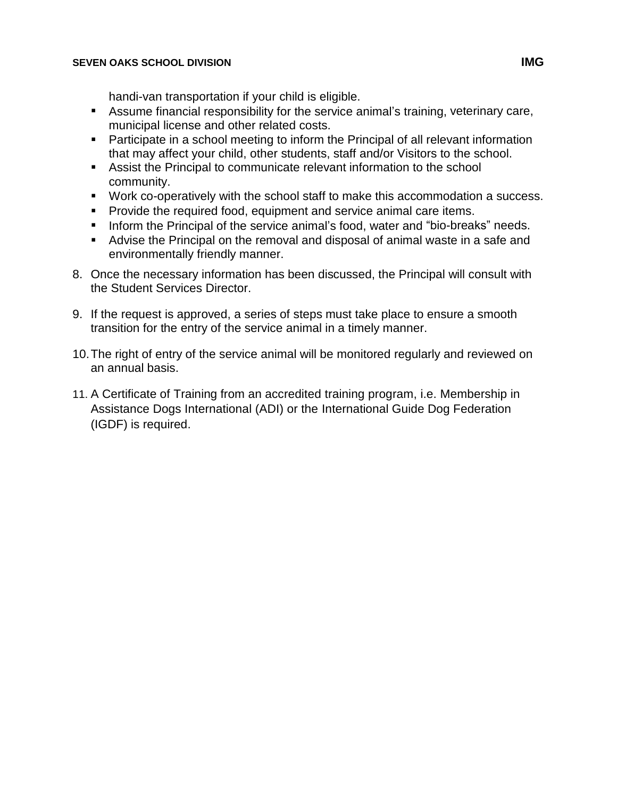handi-van transportation if your child is eligible.

- Assume financial responsibility for the service animal's training, veterinary care, municipal license and other related costs.
- Participate in a school meeting to inform the Principal of all relevant information that may affect your child, other students, staff and/or Visitors to the school.
- Assist the Principal to communicate relevant information to the school community.
- Work co-operatively with the school staff to make this accommodation a success.
- Provide the required food, equipment and service animal care items.
- Inform the Principal of the service animal's food, water and "bio-breaks" needs.
- Advise the Principal on the removal and disposal of animal waste in a safe and environmentally friendly manner.
- 8. Once the necessary information has been discussed, the Principal will consult with the Student Services Director.
- 9. If the request is approved, a series of steps must take place to ensure a smooth transition for the entry of the service animal in a timely manner.
- 10.The right of entry of the service animal will be monitored regularly and reviewed on an annual basis.
- 11. A Certificate of Training from an accredited training program, i.e. Membership in Assistance Dogs International (ADI) or the International Guide Dog Federation (IGDF) is required.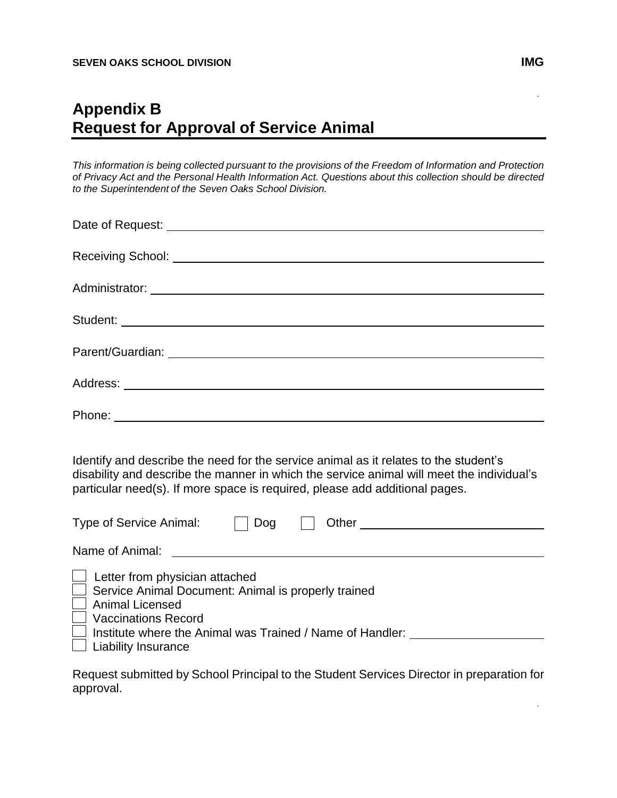## **Appendix B Request for Approval of Service Animal**

*This information is being collected pursuant to the provisions of the Freedom of Information and Protection of Privacy Act and the Personal Health Information Act. Questions about this collection should be directed to the Superintendent of the Seven Oaks School Division.*

| Identify and describe the need for the service animal as it relates to the student's<br>disability and describe the manner in which the service animal will meet the individual's<br>particular need(s). If more space is required, please add additional pages.<br>Type of Service Animal:<br>Type of Service Animal:<br>Theory Content Content Content Content Content Content Content Content Content Content Content Content Content Content Content Content Content Content Content Content C |
|----------------------------------------------------------------------------------------------------------------------------------------------------------------------------------------------------------------------------------------------------------------------------------------------------------------------------------------------------------------------------------------------------------------------------------------------------------------------------------------------------|
|                                                                                                                                                                                                                                                                                                                                                                                                                                                                                                    |
| $\Box$ Letter from physician attached<br>$\Box$ Service Animal Document: Animal is properly trained<br>$\Box$ Animal Licensed<br>Vaccinations Record<br>□ Institute where the Animal was Trained / Name of Handler: ___________________<br>$\Box$ Liability Insurance                                                                                                                                                                                                                              |
| Request submitted by Cabool Drippinal to the Ctudent Capicaco Director in proporation for                                                                                                                                                                                                                                                                                                                                                                                                          |

.

.

Request submitted by School Principal to the Student Services Director in preparation for s approval<mark>.</mark>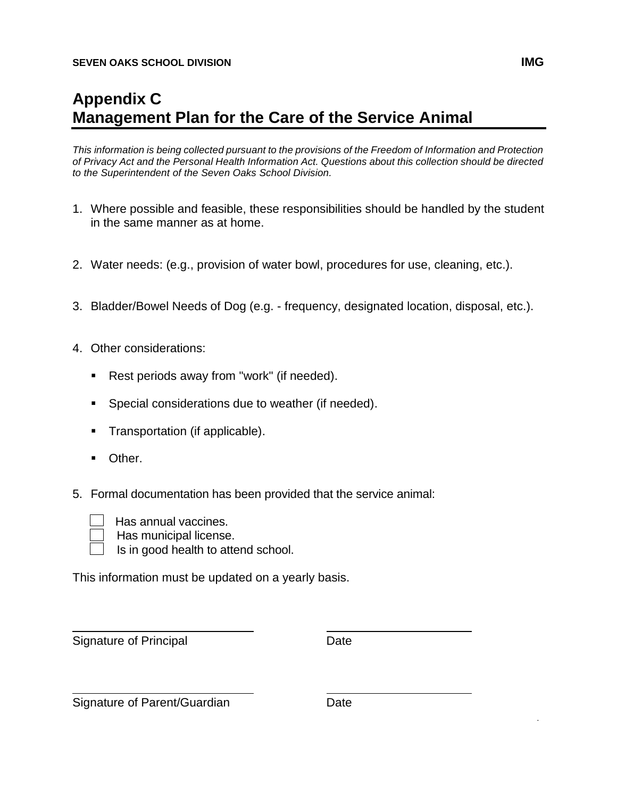# **Appendix C Management Plan for the Care of the Service Animal**

*This information is being collected pursuant to the provisions of the Freedom of Information and Protection of Privacy Act and the Personal Health Information Act. Questions about this collection should be directed to the Superintendent of the Seven Oaks School Division.*

- 1. Where possible and feasible, these responsibilities should be handled by the student in the same manner as at home.
- 2. Water needs: (e.g., provision of water bowl, procedures for use, cleaning, etc.).
- 3. Bladder/Bowel Needs of Dog (e.g. frequency, designated location, disposal, etc.).
- 4. Other considerations:
	- Rest periods away from "work" (if needed).
	- Special considerations due to weather (if needed).
	- Transportation (if applicable).
	- Other.
- 5. Formal documentation has been provided that the service animal:



Has annual vaccines.

Has municipal license.

Is in good health to attend school.

This information must be updated on a yearly basis.

Signature of Principal Date

Signature of Parent/Guardian Date

.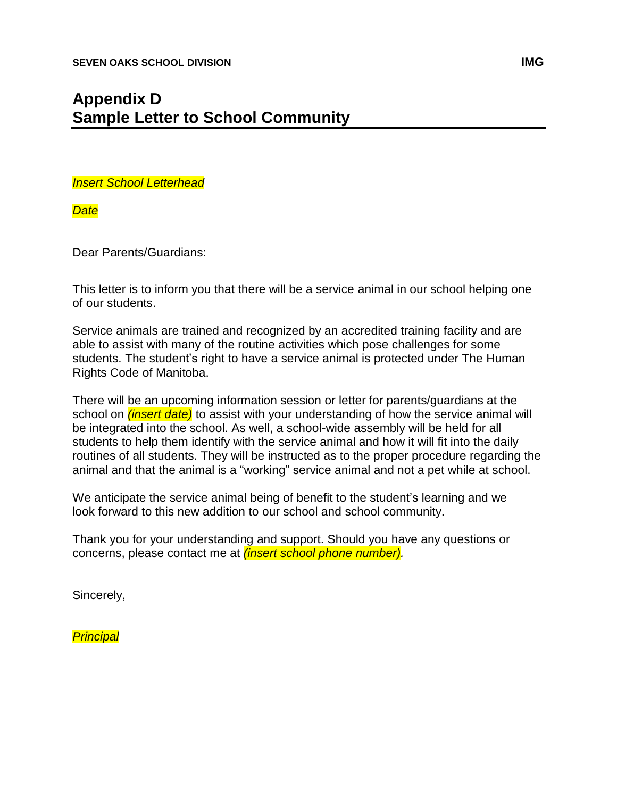## **Appendix D Sample Letter to School Community**

*Insert School Letterhead*

*Date*

Dear Parents/Guardians:

This letter is to inform you that there will be a service animal in our school helping one of our students.

Service animals are trained and recognized by an accredited training facility and are able to assist with many of the routine activities which pose challenges for some students. The student's right to have a service animal is protected under The Human Rights Code of Manitoba.

There will be an upcoming information session or letter for parents/guardians at the school on *(insert date)* to assist with your understanding of how the service animal will be integrated into the school. As well, a school-wide assembly will be held for all students to help them identify with the service animal and how it will fit into the daily routines of all students. They will be instructed as to the proper procedure regarding the animal and that the animal is a "working" service animal and not a pet while at school.

We anticipate the service animal being of benefit to the student's learning and we look forward to this new addition to our school and school community.

Thank you for your understanding and support. Should you have any questions or concerns, please contact me at *(insert school phone number).*

Sincerely,

*Principal*